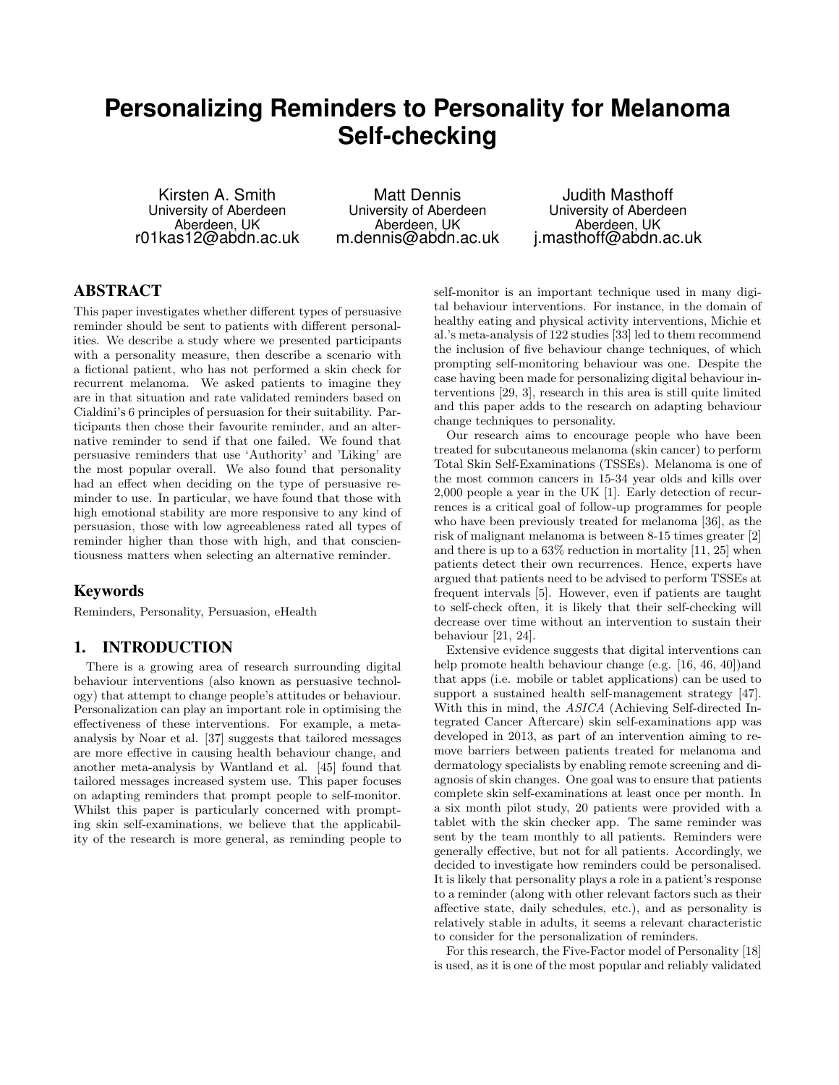# **Personalizing Reminders to Personality for Melanoma Self-checking**

Kirsten A. Smith University of Aberdeen Aberdeen, UK r01kas12@abdn.ac.uk

Matt Dennis University of Aberdeen Aberdeen, UK m.dennis@abdn.ac.uk

Judith Masthoff University of Aberdeen Aberdeen, UK j.masthoff@abdn.ac.uk

# ABSTRACT

This paper investigates whether different types of persuasive reminder should be sent to patients with different personalities. We describe a study where we presented participants with a personality measure, then describe a scenario with a fictional patient, who has not performed a skin check for recurrent melanoma. We asked patients to imagine they are in that situation and rate validated reminders based on Cialdini's 6 principles of persuasion for their suitability. Participants then chose their favourite reminder, and an alternative reminder to send if that one failed. We found that persuasive reminders that use 'Authority' and 'Liking' are the most popular overall. We also found that personality had an effect when deciding on the type of persuasive reminder to use. In particular, we have found that those with high emotional stability are more responsive to any kind of persuasion, those with low agreeableness rated all types of reminder higher than those with high, and that conscientiousness matters when selecting an alternative reminder.

## Keywords

Reminders, Personality, Persuasion, eHealth

# 1. INTRODUCTION

There is a growing area of research surrounding digital behaviour interventions (also known as persuasive technology) that attempt to change people's attitudes or behaviour. Personalization can play an important role in optimising the effectiveness of these interventions. For example, a metaanalysis by Noar et al. [\[37\]](#page-8-0) suggests that tailored messages are more effective in causing health behaviour change, and another meta-analysis by Wantland et al. [\[45\]](#page-8-1) found that tailored messages increased system use. This paper focuses on adapting reminders that prompt people to self-monitor. Whilst this paper is particularly concerned with prompting skin self-examinations, we believe that the applicability of the research is more general, as reminding people to self-monitor is an important technique used in many digital behaviour interventions. For instance, in the domain of healthy eating and physical activity interventions, Michie et al.'s meta-analysis of 122 studies [\[33\]](#page-8-2) led to them recommend the inclusion of five behaviour change techniques, of which prompting self-monitoring behaviour was one. Despite the case having been made for personalizing digital behaviour interventions [\[29,](#page-8-3) [3\]](#page-7-0), research in this area is still quite limited and this paper adds to the research on adapting behaviour change techniques to personality.

Our research aims to encourage people who have been treated for subcutaneous melanoma (skin cancer) to perform Total Skin Self-Examinations (TSSEs). Melanoma is one of the most common cancers in 15-34 year olds and kills over 2,000 people a year in the UK [\[1\]](#page-7-1). Early detection of recurrences is a critical goal of follow-up programmes for people who have been previously treated for melanoma [\[36\]](#page-8-4), as the risk of malignant melanoma is between 8-15 times greater [\[2\]](#page-7-2) and there is up to a 63% reduction in mortality [\[11,](#page-7-3) [25\]](#page-7-4) when patients detect their own recurrences. Hence, experts have argued that patients need to be advised to perform TSSEs at frequent intervals [\[5\]](#page-7-5). However, even if patients are taught to self-check often, it is likely that their self-checking will decrease over time without an intervention to sustain their behaviour [\[21,](#page-7-6) [24\]](#page-7-7).

Extensive evidence suggests that digital interventions can help promote health behaviour change (e.g. [\[16,](#page-7-8) [46,](#page-8-5) [40\]](#page-8-6))and that apps (i.e. mobile or tablet applications) can be used to support a sustained health self-management strategy [\[47\]](#page-8-7). With this in mind, the ASICA (Achieving Self-directed Integrated Cancer Aftercare) skin self-examinations app was developed in 2013, as part of an intervention aiming to remove barriers between patients treated for melanoma and dermatology specialists by enabling remote screening and diagnosis of skin changes. One goal was to ensure that patients complete skin self-examinations at least once per month. In a six month pilot study, 20 patients were provided with a tablet with the skin checker app. The same reminder was sent by the team monthly to all patients. Reminders were generally effective, but not for all patients. Accordingly, we decided to investigate how reminders could be personalised. It is likely that personality plays a role in a patient's response to a reminder (along with other relevant factors such as their affective state, daily schedules, etc.), and as personality is relatively stable in adults, it seems a relevant characteristic to consider for the personalization of reminders.

For this research, the Five-Factor model of Personality [\[18\]](#page-7-9) is used, as it is one of the most popular and reliably validated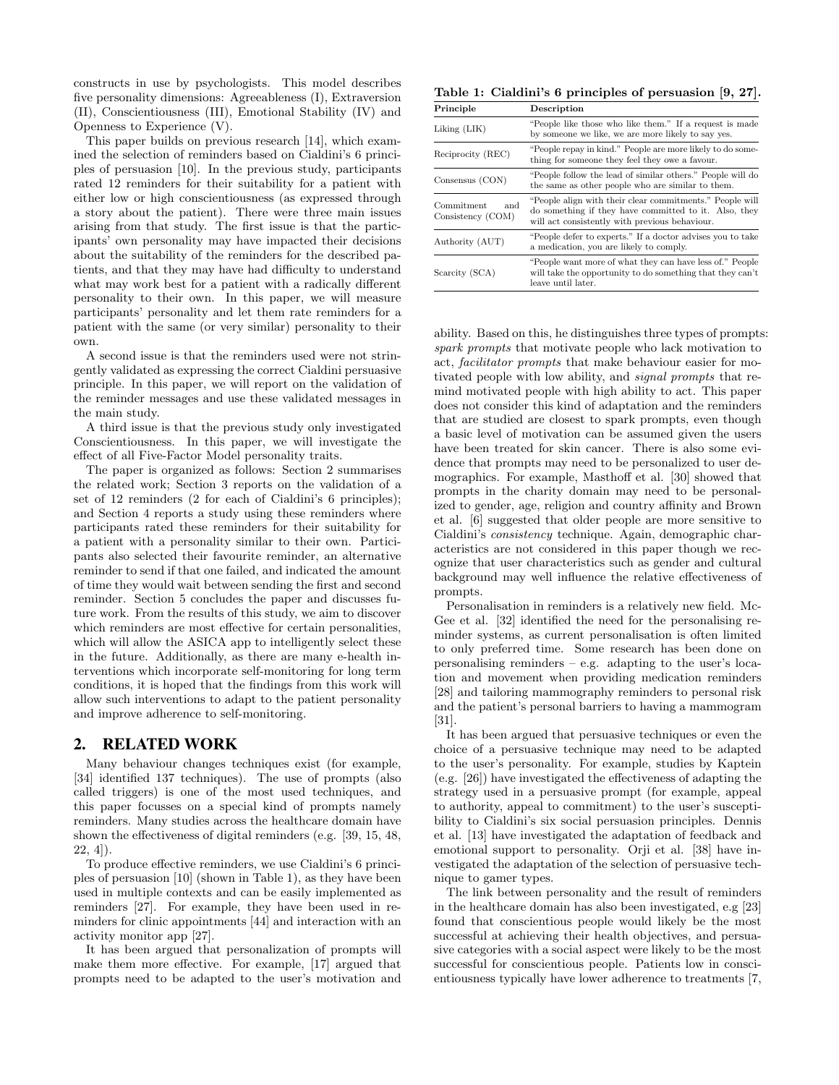constructs in use by psychologists. This model describes five personality dimensions: Agreeableness (I), Extraversion (II), Conscientiousness (III), Emotional Stability (IV) and Openness to Experience (V).

This paper builds on previous research [\[14\]](#page-7-10), which examined the selection of reminders based on Cialdini's 6 principles of persuasion [\[10\]](#page-7-11). In the previous study, participants rated 12 reminders for their suitability for a patient with either low or high conscientiousness (as expressed through a story about the patient). There were three main issues arising from that study. The first issue is that the participants' own personality may have impacted their decisions about the suitability of the reminders for the described patients, and that they may have had difficulty to understand what may work best for a patient with a radically different personality to their own. In this paper, we will measure participants' personality and let them rate reminders for a patient with the same (or very similar) personality to their own.

A second issue is that the reminders used were not stringently validated as expressing the correct Cialdini persuasive principle. In this paper, we will report on the validation of the reminder messages and use these validated messages in the main study.

A third issue is that the previous study only investigated Conscientiousness. In this paper, we will investigate the effect of all Five-Factor Model personality traits.

The paper is organized as follows: Section 2 summarises the related work; Section 3 reports on the validation of a set of 12 reminders (2 for each of Cialdini's 6 principles); and Section 4 reports a study using these reminders where participants rated these reminders for their suitability for a patient with a personality similar to their own. Participants also selected their favourite reminder, an alternative reminder to send if that one failed, and indicated the amount of time they would wait between sending the first and second reminder. Section 5 concludes the paper and discusses future work. From the results of this study, we aim to discover which reminders are most effective for certain personalities, which will allow the ASICA app to intelligently select these in the future. Additionally, as there are many e-health interventions which incorporate self-monitoring for long term conditions, it is hoped that the findings from this work will allow such interventions to adapt to the patient personality and improve adherence to self-monitoring.

## 2. RELATED WORK

Many behaviour changes techniques exist (for example, [\[34\]](#page-8-8) identified 137 techniques). The use of prompts (also called triggers) is one of the most used techniques, and this paper focusses on a special kind of prompts namely reminders. Many studies across the healthcare domain have shown the effectiveness of digital reminders (e.g. [\[39,](#page-8-9) [15,](#page-7-12) [48,](#page-8-10)  $22, 4]$  $22, 4]$  $22, 4]$ ).

To produce effective reminders, we use Cialdini's 6 principles of persuasion [\[10\]](#page-7-11) (shown in [Table 1\)](#page-1-0), as they have been used in multiple contexts and can be easily implemented as reminders [\[27\]](#page-8-11). For example, they have been used in reminders for clinic appointments [\[44\]](#page-8-12) and interaction with an activity monitor app [\[27\]](#page-8-11).

It has been argued that personalization of prompts will make them more effective. For example, [\[17\]](#page-7-15) argued that prompts need to be adapted to the user's motivation and

<span id="page-1-0"></span>Table 1: Cialdini's 6 principles of persuasion [\[9,](#page-7-16) [27\]](#page-8-11).

| Principle                           | Description                                                                                                                                                         |
|-------------------------------------|---------------------------------------------------------------------------------------------------------------------------------------------------------------------|
| Liking (LIK)                        | "People like those who like them." If a request is made<br>by someone we like, we are more likely to say yes.                                                       |
| Reciprocity (REC)                   | "People repay in kind." People are more likely to do some-<br>thing for someone they feel they owe a favour.                                                        |
| Consensus (CON)                     | "People follow the lead of similar others." People will do<br>the same as other people who are similar to them.                                                     |
| Comment<br>and<br>Consistency (COM) | "People align with their clear commitments." People will<br>do something if they have committed to it. Also, they<br>will act consistently with previous behaviour. |
| Authority (AUT)                     | "People defer to experts." If a doctor advises you to take<br>a medication, you are likely to comply.                                                               |
| Scarcity (SCA)                      | "People want more of what they can have less of." People<br>will take the opportunity to do something that they can't<br>leave until later.                         |

ability. Based on this, he distinguishes three types of prompts: spark prompts that motivate people who lack motivation to act, facilitator prompts that make behaviour easier for motivated people with low ability, and signal prompts that remind motivated people with high ability to act. This paper does not consider this kind of adaptation and the reminders that are studied are closest to spark prompts, even though a basic level of motivation can be assumed given the users have been treated for skin cancer. There is also some evidence that prompts may need to be personalized to user demographics. For example, Masthoff et al. [\[30\]](#page-8-13) showed that prompts in the charity domain may need to be personalized to gender, age, religion and country affinity and Brown et al. [\[6\]](#page-7-17) suggested that older people are more sensitive to Cialdini's consistency technique. Again, demographic characteristics are not considered in this paper though we recognize that user characteristics such as gender and cultural background may well influence the relative effectiveness of prompts.

Personalisation in reminders is a relatively new field. Mc-Gee et al. [\[32\]](#page-8-14) identified the need for the personalising reminder systems, as current personalisation is often limited to only preferred time. Some research has been done on personalising reminders – e.g. adapting to the user's location and movement when providing medication reminders [\[28\]](#page-8-15) and tailoring mammography reminders to personal risk and the patient's personal barriers to having a mammogram [\[31\]](#page-8-16).

It has been argued that persuasive techniques or even the choice of a persuasive technique may need to be adapted to the user's personality. For example, studies by Kaptein (e.g. [\[26\]](#page-7-18)) have investigated the effectiveness of adapting the strategy used in a persuasive prompt (for example, appeal to authority, appeal to commitment) to the user's susceptibility to Cialdini's six social persuasion principles. Dennis et al. [\[13\]](#page-7-19) have investigated the adaptation of feedback and emotional support to personality. Orji et al. [\[38\]](#page-8-17) have investigated the adaptation of the selection of persuasive technique to gamer types.

The link between personality and the result of reminders in the healthcare domain has also been investigated, e.g [\[23\]](#page-7-20) found that conscientious people would likely be the most successful at achieving their health objectives, and persuasive categories with a social aspect were likely to be the most successful for conscientious people. Patients low in conscientiousness typically have lower adherence to treatments [\[7,](#page-7-21)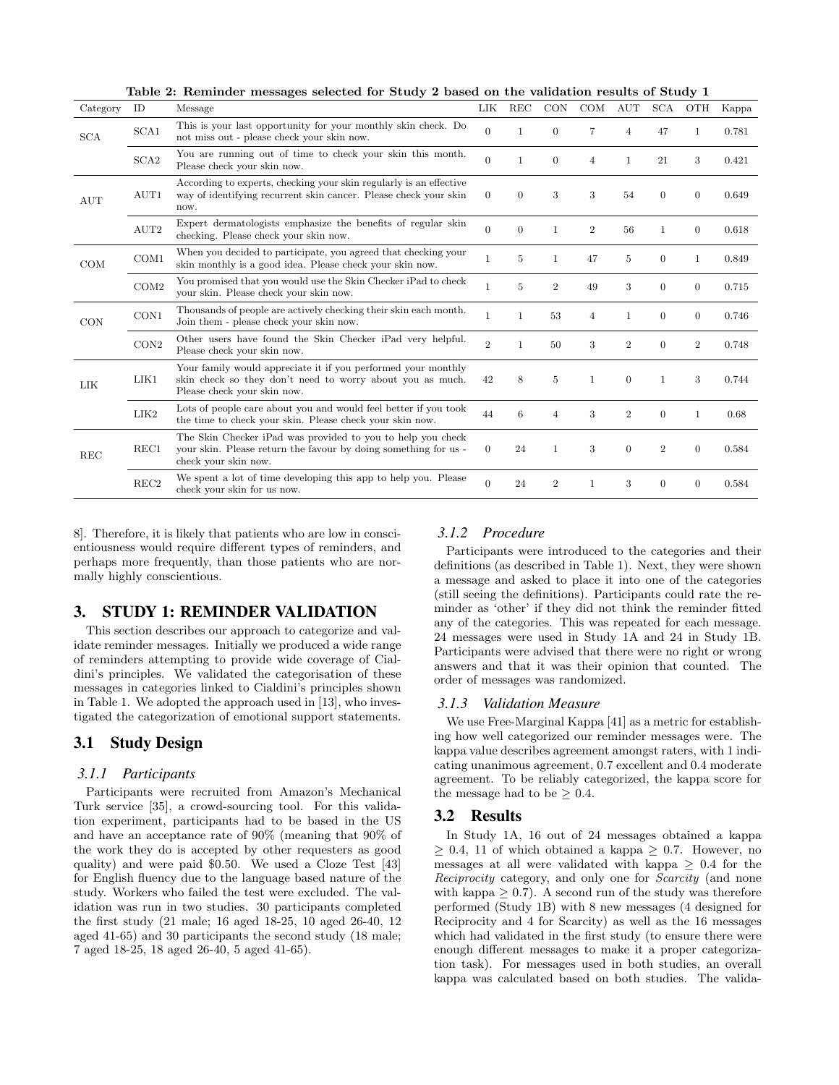<span id="page-2-0"></span>Table 2: Reminder messages selected for Study 2 based on the validation results of Study 1

| Category   | ID               | Table 2. Itemmuci messages selecteu for bruay 2 based on the vanuation results of bruay 1<br>Message                                                      |                | LIK REC        | <b>CON</b>     | COM            | AUT            | SCA              | <b>OTH</b>       | Kappa |
|------------|------------------|-----------------------------------------------------------------------------------------------------------------------------------------------------------|----------------|----------------|----------------|----------------|----------------|------------------|------------------|-------|
| <b>SCA</b> | SCA1             | This is your last opportunity for your monthly skin check. Do<br>not miss out - please check your skin now.                                               | $\overline{0}$ | $\mathbf{1}$   | $\theta$       | $\overline{7}$ | $\overline{4}$ | 47               | $\mathbf{1}$     | 0.781 |
|            | SCA <sub>2</sub> | You are running out of time to check your skin this month.<br>Please check your skin now.                                                                 | $\Omega$       | $\overline{1}$ | $\theta$       | $\overline{4}$ | $\mathbf{1}$   | 21               | 3                | 0.421 |
| <b>AUT</b> | AUT1             | According to experts, checking your skin regularly is an effective<br>way of identifying recurrent skin cancer. Please check your skin<br>now.            | $\theta$       | $\theta$       | 3              | 3              | 54             | $\theta$         | $\theta$         | 0.649 |
|            | AUT2             | Expert dermatologists emphasize the benefits of regular skin<br>checking. Please check your skin now.                                                     | $\theta$       | $\overline{0}$ | $\mathbf{1}$   | $\overline{2}$ | 56             | $\mathbf{1}$     | $\overline{0}$   | 0.618 |
| COM        | COM1             | When you decided to participate, you agreed that checking your<br>skin monthly is a good idea. Please check your skin now.                                | $\mathbf{1}$   | 5              | $\mathbf{1}$   | 47             | 5              | $\mathbf{0}$     | $\mathbf{1}$     | 0.849 |
|            | COM2             | You promised that you would use the Skin Checker iPad to check<br>your skin. Please check your skin now.                                                  | 1              | 5              | $\overline{2}$ | 49             | 3              | $\overline{0}$   | $\mathbf{0}$     | 0.715 |
| CON        | CON1             | Thousands of people are actively checking their skin each month.<br>Join them - please check your skin now.                                               | $\mathbf{1}$   | $\overline{1}$ | 53             | $\overline{4}$ | $\mathbf{1}$   | $\theta$         | $\overline{0}$   | 0.746 |
|            | CON2             | Other users have found the Skin Checker iPad very helpful.<br>Please check your skin now.                                                                 | $\overline{2}$ | $\mathbf{1}$   | 50             | 3              | $\overline{2}$ | $\theta$         | $\boldsymbol{2}$ | 0.748 |
| LIK        | LIK1             | Your family would appreciate it if you performed your monthly<br>skin check so they don't need to worry about you as much.<br>Please check your skin now. | 42             | 8              | 5              | 1              | $\theta$       | $\mathbf{1}$     | 3                | 0.744 |
|            | LIK2             | Lots of people care about you and would feel better if you took<br>the time to check your skin. Please check your skin now.                               | 44             | 6              | $\overline{4}$ | 3              | $\overline{2}$ | $\theta$         | $\mathbf{1}$     | 0.68  |
| <b>REC</b> | REC1             | The Skin Checker iPad was provided to you to help you check<br>your skin. Please return the favour by doing something for us -<br>check your skin now.    | $\overline{0}$ | 24             | 1              | 3              | $\theta$       | $\boldsymbol{2}$ | $\theta$         | 0.584 |
|            | REC <sub>2</sub> | We spent a lot of time developing this app to help you. Please<br>check your skin for us now.                                                             | $\overline{0}$ | 24             | $\overline{2}$ | $\mathbf{1}$   | 3              | $\mathbf{0}$     | $\theta$         | 0.584 |

[8\]](#page-7-22). Therefore, it is likely that patients who are low in conscientiousness would require different types of reminders, and perhaps more frequently, than those patients who are normally highly conscientious.

# <span id="page-2-1"></span>3. STUDY 1: REMINDER VALIDATION

This section describes our approach to categorize and validate reminder messages. Initially we produced a wide range of reminders attempting to provide wide coverage of Cialdini's principles. We validated the categorisation of these messages in categories linked to Cialdini's principles shown in [Table 1.](#page-1-0) We adopted the approach used in [\[13\]](#page-7-19), who investigated the categorization of emotional support statements.

# 3.1 Study Design

### *3.1.1 Participants*

Participants were recruited from Amazon's Mechanical Turk service [\[35\]](#page-8-18), a crowd-sourcing tool. For this validation experiment, participants had to be based in the US and have an acceptance rate of 90% (meaning that 90% of the work they do is accepted by other requesters as good quality) and were paid \$0.50. We used a Cloze Test [\[43\]](#page-8-19) for English fluency due to the language based nature of the study. Workers who failed the test were excluded. The validation was run in two studies. 30 participants completed the first study (21 male; 16 aged 18-25, 10 aged 26-40, 12 aged 41-65) and 30 participants the second study (18 male; 7 aged 18-25, 18 aged 26-40, 5 aged 41-65).

## *3.1.2 Procedure*

Participants were introduced to the categories and their definitions (as described in [Table 1\)](#page-1-0). Next, they were shown a message and asked to place it into one of the categories (still seeing the definitions). Participants could rate the reminder as 'other' if they did not think the reminder fitted any of the categories. This was repeated for each message. 24 messages were used in Study 1A and 24 in Study 1B. Participants were advised that there were no right or wrong answers and that it was their opinion that counted. The order of messages was randomized.

#### *3.1.3 Validation Measure*

We use Free-Marginal Kappa [\[41\]](#page-8-20) as a metric for establishing how well categorized our reminder messages were. The kappa value describes agreement amongst raters, with 1 indicating unanimous agreement, 0.7 excellent and 0.4 moderate agreement. To be reliably categorized, the kappa score for the message had to be  $> 0.4$ .

#### 3.2 Results

In Study 1A, 16 out of 24 messages obtained a kappa  $> 0.4$ , 11 of which obtained a kappa  $> 0.7$ . However, no messages at all were validated with kappa  $> 0.4$  for the Reciprocity category, and only one for Scarcity (and none with kappa  $\geq$  0.7). A second run of the study was therefore performed (Study 1B) with 8 new messages (4 designed for Reciprocity and 4 for Scarcity) as well as the 16 messages which had validated in the first study (to ensure there were enough different messages to make it a proper categorization task). For messages used in both studies, an overall kappa was calculated based on both studies. The valida-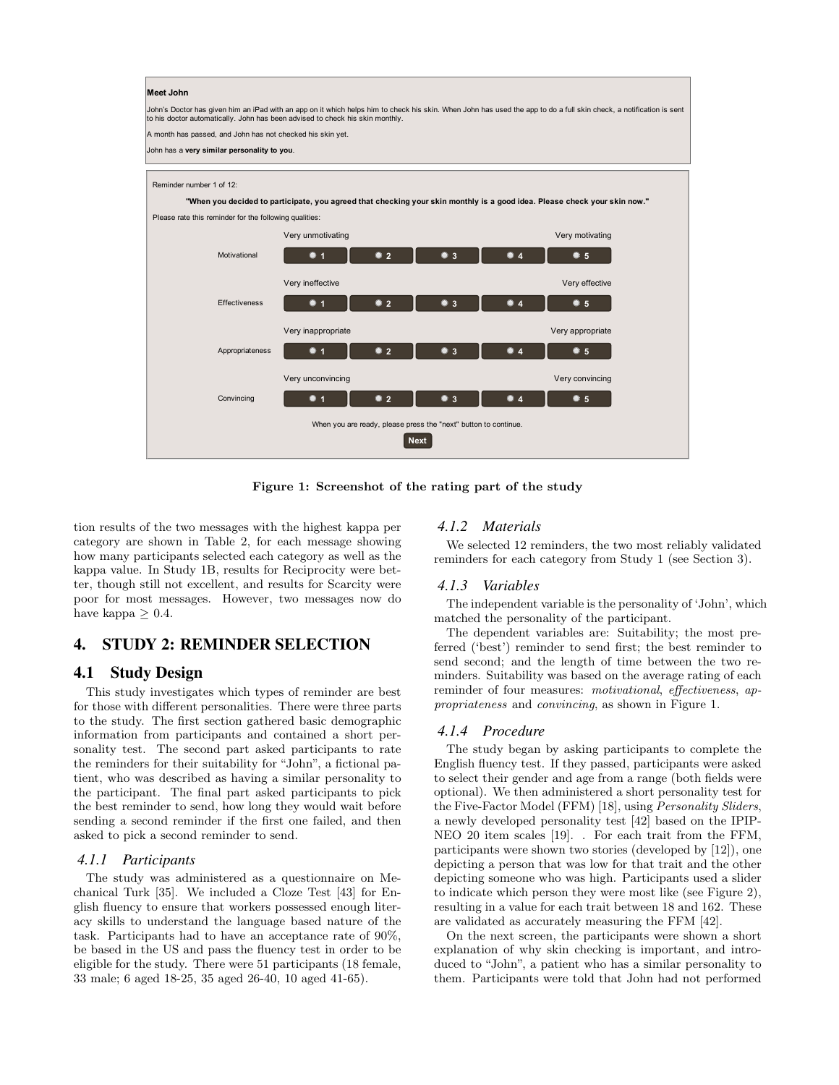

<span id="page-3-0"></span>Figure 1: Screenshot of the rating part of the study

tion results of the two messages with the highest kappa per category are shown in [Table 2,](#page-2-0) for each message showing how many participants selected each category as well as the kappa value. In Study 1B, results for Reciprocity were better, though still not excellent, and results for Scarcity were poor for most messages. However, two messages now do have kappa  $> 0.4$ .

# 4. STUDY 2: REMINDER SELECTION

## 4.1 Study Design

for those with different personalities. There were three parts *propriateness* and *convincing*, as shown in Figur This study investigates which types of reminder are best to the study. The first section gathered basic demographic information from participants and contained a short personality test. The second part asked participants to rate the reminders for their suitability for "John", a fictional patient, who was described as having a similar personality to the participant. The final part asked participants to pick the best reminder to send, how long they would wait before sending a second reminder if the first one failed, and then asked to pick a second reminder to send.

## *4.1.1 Participants*

The study was administered as a questionnaire on Mechanical Turk [\[35\]](#page-8-18). We included a Cloze Test [\[43\]](#page-8-19) for English fluency to ensure that workers possessed enough literacy skills to understand the language based nature of the task. Participants had to have an acceptance rate of 90%, be based in the US and pass the fluency test in order to be eligible for the study. There were 51 participants (18 female, 33 male; 6 aged 18-25, 35 aged 26-40, 10 aged 41-65).

## *4.1.2 Materials*

We selected 12 reminders, the two most reliably validated reminders for each category from Study 1 (see [Section 3\)](#page-2-1).

## *4.1.3 Variables*

The independent variable is the personality of 'John', which matched the personality of the participant.

The dependent variables are: Suitability; the most preferred ('best') reminder to send first; the best reminder to send second; and the length of time between the two reminders. Suitability was based on the average rating of each reminder of four measures: *motivational*, *effectiveness*, *ap*propriateness and convincing, as shown in [Figure 1.](#page-3-0)

## *4.1.4 Procedure*

The study began by asking participants to complete the English fluency test. If they passed, participants were asked to select their gender and age from a range (both fields were optional). We then administered a short personality test for the Five-Factor Model (FFM) [\[18\]](#page-7-9), using Personality Sliders, a newly developed personality test [\[42\]](#page-8-21) based on the IPIP-NEO 20 item scales [\[19\]](#page-7-23). . For each trait from the FFM, participants were shown two stories (developed by [\[12\]](#page-7-24)), one depicting a person that was low for that trait and the other depicting someone who was high. Participants used a slider to indicate which person they were most like (see [Figure 2\)](#page-4-0), resulting in a value for each trait between 18 and 162. These are validated as accurately measuring the FFM [\[42\]](#page-8-21).

On the next screen, the participants were shown a short explanation of why skin checking is important, and introduced to "John", a patient who has a similar personality to them. Participants were told that John had not performed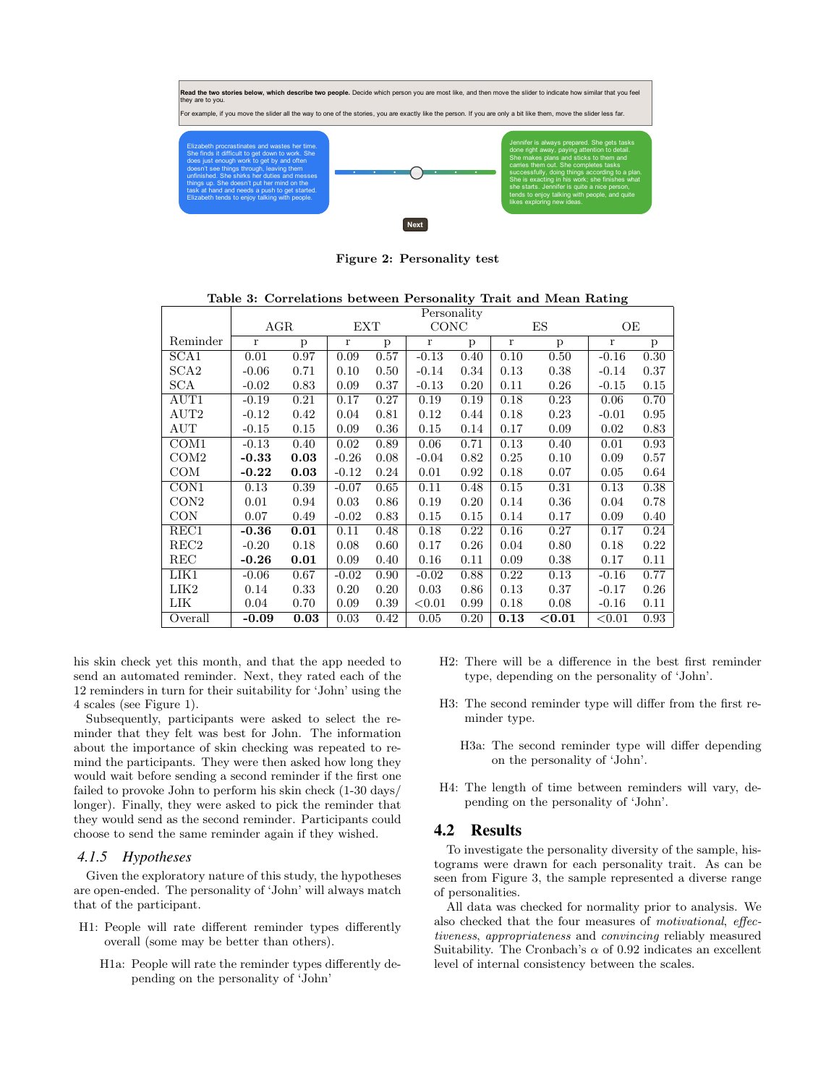

<span id="page-4-0"></span>Figure 2: Personality test

<span id="page-4-1"></span>Table 3: Correlations between Personality Trait and Mean Rating

|                  | Personality  |      |              |      |              |      |              |           |           |      |
|------------------|--------------|------|--------------|------|--------------|------|--------------|-----------|-----------|------|
|                  | AGR          |      | <b>EXT</b>   |      | CONC         |      | ES           |           | OЕ        |      |
| Reminder         | $\mathbf{r}$ | p    | $\mathbf{r}$ | p    | $\mathbf{r}$ | p    | $\mathbf{r}$ | p         | $\bf r$   | p    |
| SCA1             | 0.01         | 0.97 | 0.09         | 0.57 | $-0.13$      | 0.40 | 0.10         | 0.50      | $-0.16$   | 0.30 |
| SCA <sub>2</sub> | $-0.06$      | 0.71 | 0.10         | 0.50 | $-0.14$      | 0.34 | 0.13         | 0.38      | $-0.14$   | 0.37 |
| <b>SCA</b>       | $-0.02$      | 0.83 | 0.09         | 0.37 | $-0.13$      | 0.20 | 0.11         | 0.26      | $-0.15$   | 0.15 |
| $\rm{AUT1}$      | $-0.19$      | 0.21 | 0.17         | 0.27 | 0.19         | 0.19 | 0.18         | 0.23      | 0.06      | 0.70 |
| AUT2             | $-0.12$      | 0.42 | 0.04         | 0.81 | 0.12         | 0.44 | 0.18         | 0.23      | $-0.01$   | 0.95 |
| AUT              | $-0.15$      | 0.15 | 0.09         | 0.36 | 0.15         | 0.14 | 0.17         | 0.09      | 0.02      | 0.83 |
| COM <sub>1</sub> | $-0.13$      | 0.40 | 0.02         | 0.89 | 0.06         | 0.71 | 0.13         | 0.40      | 0.01      | 0.93 |
| COM2             | $-0.33$      | 0.03 | $-0.26$      | 0.08 | $-0.04$      | 0.82 | 0.25         | 0.10      | 0.09      | 0.57 |
| COM              | $-0.22$      | 0.03 | $-0.12$      | 0.24 | 0.01         | 0.92 | 0.18         | 0.07      | 0.05      | 0.64 |
| CON1             | 0.13         | 0.39 | $-0.07$      | 0.65 | 0.11         | 0.48 | 0.15         | 0.31      | 0.13      | 0.38 |
| CON2             | 0.01         | 0.94 | 0.03         | 0.86 | 0.19         | 0.20 | 0.14         | 0.36      | 0.04      | 0.78 |
| <b>CON</b>       | 0.07         | 0.49 | $-0.02$      | 0.83 | 0.15         | 0.15 | 0.14         | 0.17      | 0.09      | 0.40 |
| REC1             | $-0.36$      | 0.01 | 0.11         | 0.48 | 0.18         | 0.22 | 0.16         | 0.27      | 0.17      | 0.24 |
| REC <sub>2</sub> | $-0.20$      | 0.18 | 0.08         | 0.60 | 0.17         | 0.26 | 0.04         | 0.80      | 0.18      | 0.22 |
| $_{\rm REC}$     | $-0.26$      | 0.01 | 0.09         | 0.40 | 0.16         | 0.11 | 0.09         | 0.38      | 0.17      | 0.11 |
| LIK1             | $-0.06$      | 0.67 | $-0.02$      | 0.90 | $-0.02$      | 0.88 | 0.22         | 0.13      | $-0.16$   | 0.77 |
| LIK2             | 0.14         | 0.33 | 0.20         | 0.20 | 0.03         | 0.86 | 0.13         | 0.37      | $-0.17$   | 0.26 |
| LIK              | 0.04         | 0.70 | 0.09         | 0.39 | ${<}0.01$    | 0.99 | 0.18         | 0.08      | $-0.16$   | 0.11 |
| Overall          | $-0.09$      | 0.03 | 0.03         | 0.42 | 0.05         | 0.20 | 0.13         | ${<}0.01$ | ${<}0.01$ | 0.93 |

his skin check yet this month, and that the app needed to send an automated reminder. Next, they rated each of the 12 reminders in turn for their suitability for 'John' using the 4 scales (see Figure [1\)](#page-3-0).

Subsequently, participants were asked to select the reminder that they felt was best for John. The information about the importance of skin checking was repeated to remind the participants. They were then asked how long they would wait before sending a second reminder if the first one failed to provoke John to perform his skin check (1-30 days/ longer). Finally, they were asked to pick the reminder that they would send as the second reminder. Participants could choose to send the same reminder again if they wished.

### *4.1.5 Hypotheses*

Given the exploratory nature of this study, the hypotheses are open-ended. The personality of 'John' will always match that of the participant.

- H1: People will rate different reminder types differently overall (some may be better than others).
	- H1a: People will rate the reminder types differently depending on the personality of 'John'
- H2: There will be a difference in the best first reminder type, depending on the personality of 'John'.
- H3: The second reminder type will differ from the first reminder type.
	- H3a: The second reminder type will differ depending on the personality of 'John'.
- H4: The length of time between reminders will vary, depending on the personality of 'John'.

## 4.2 Results

To investigate the personality diversity of the sample, histograms were drawn for each personality trait. As can be seen from [Figure 3,](#page-5-0) the sample represented a diverse range of personalities.

All data was checked for normality prior to analysis. We also checked that the four measures of motivational, effectiveness, appropriateness and convincing reliably measured Suitability. The Cronbach's  $\alpha$  of 0.92 indicates an excellent level of internal consistency between the scales.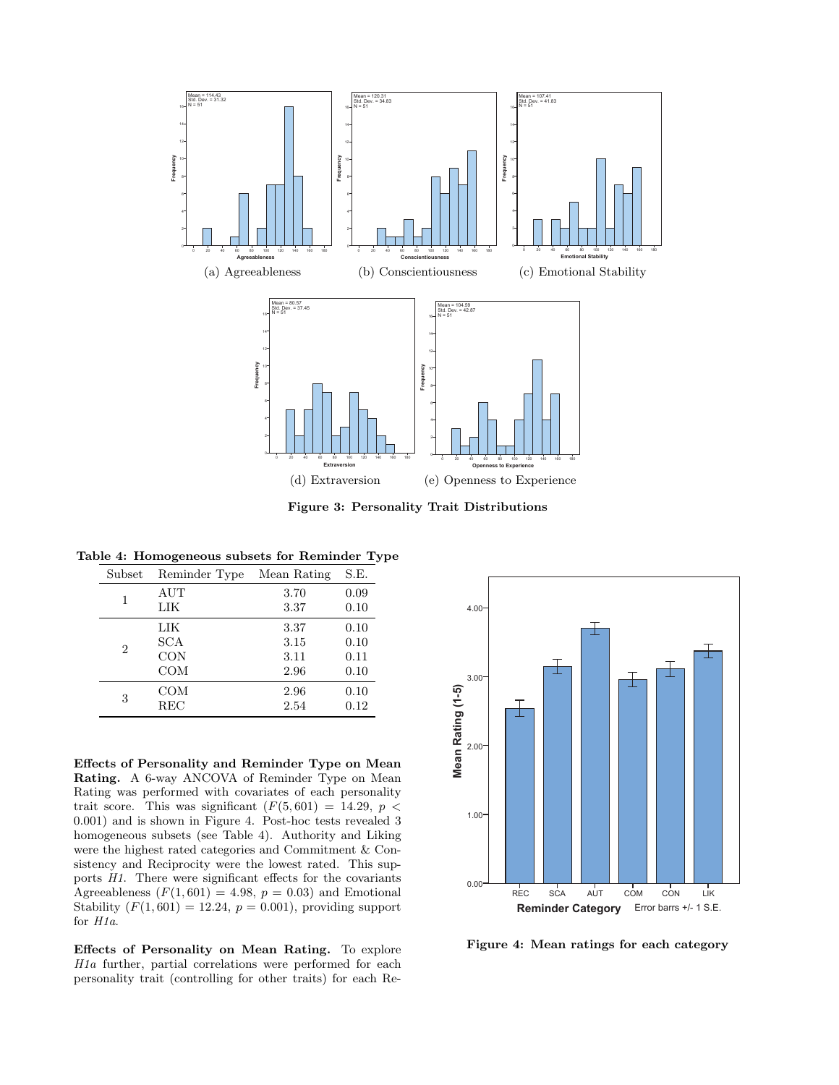

<span id="page-5-0"></span>Figure 3: Personality Trait Distributions

#### Table 4: Homogeneous subsets for Reminder Type

<span id="page-5-2"></span>

| Subset | Reminder Type | Mean Rating | S.E.     |
|--------|---------------|-------------|----------|
| 1      | $\rm{AUT}$    | 3.70        | 0.09     |
|        | LIK           | 3.37        | 0.10     |
| 2      | LIK           | 3.37        | 0.10     |
|        | SCA           | 3.15        | 0.10     |
|        | <b>CON</b>    | 3.11        | 0.11     |
|        | <b>COM</b>    | 2.96        | 0.10     |
| 3      | COM           | 2.96        | 0.10     |
|        | $_{\rm REC}$  | 2.54        | $0.12\,$ |

Effects of Personality and Reminder Type on Mean Rating. A 6-way ANCOVA of Reminder Type on Mean Rating was performed with covariates of each personality trait score. This was significant  $(F(5, 601) = 14.29, p <$ 0.001) and is shown in [Figure 4.](#page-5-1) Post-hoc tests revealed 3 homogeneous subsets (see [Table 4\)](#page-5-2). Authority and Liking were the highest rated categories and Commitment & Consistency and Reciprocity were the lowest rated. This supports H1. There were significant effects for the covariants Agreeableness  $(F(1, 601) = 4.98, p = 0.03)$  and Emotional Stability  $(F(1, 601) = 12.24, p = 0.001)$ , providing support for H1a.

Effects of Personality on Mean Rating. To explore H1a further, partial correlations were performed for each personality trait (controlling for other traits) for each Re-



<span id="page-5-1"></span>Figure 4: Mean ratings for each category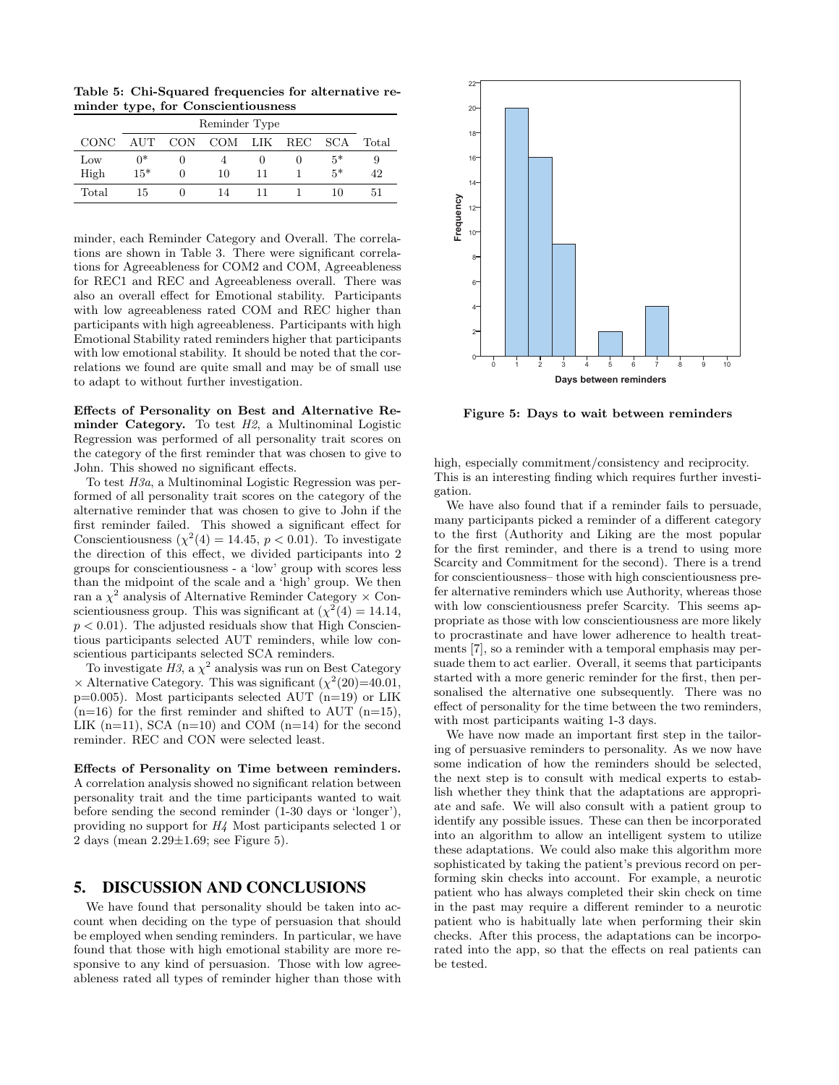Table 5: Chi-Squared frequencies for alternative reminder type, for Conscientiousness

| Reminder Type |       |            |             |    |   |      |       |  |
|---------------|-------|------------|-------------|----|---|------|-------|--|
| <b>CONC</b>   | AUT   | <b>CON</b> | COM LIK REC |    |   | SCA  | Total |  |
| Low           | $0^*$ |            |             |    | 0 | $5*$ | 9     |  |
| High          | $15*$ | 0          | 10          | 11 |   | $5*$ | 42    |  |
| Total         | 15    |            | 14          |    |   | 10   | 51    |  |

minder, each Reminder Category and Overall. The correlations are shown in [Table 3.](#page-4-1) There were significant correlations for Agreeableness for COM2 and COM, Agreeableness for REC1 and REC and Agreeableness overall. There was also an overall effect for Emotional stability. Participants with low agreeableness rated COM and REC higher than participants with high agreeableness. Participants with high Emotional Stability rated reminders higher that participants with low emotional stability. It should be noted that the correlations we found are quite small and may be of small use to adapt to without further investigation.

Effects of Personality on Best and Alternative Reminder Category. To test  $H2$ , a Multinominal Logistic Regression was performed of all personality trait scores on the category of the first reminder that was chosen to give to John. This showed no significant effects.

To test H3a, a Multinominal Logistic Regression was performed of all personality trait scores on the category of the alternative reminder that was chosen to give to John if the first reminder failed. This showed a significant effect for Conscientiousness  $(\chi^2(4) = 14.45, p < 0.01)$ . To investigate the direction of this effect, we divided participants into 2 groups for conscientiousness - a 'low' group with scores less than the midpoint of the scale and a 'high' group. We then ran a  $\chi^2$  analysis of Alternative Reminder Category  $\times$  Conscientiousness group. This was significant at  $(\chi^2(4) = 14.14,$  $p < 0.01$ ). The adjusted residuals show that High Conscientious participants selected AUT reminders, while low conscientious participants selected SCA reminders.

To investigate  $H3$ , a  $\chi^2$  analysis was run on Best Category  $\times$  Alternative Category. This was significant  $(\chi^2(20)=40.01,$  $p=0.005$ ). Most participants selected AUT (n=19) or LIK  $(n=16)$  for the first reminder and shifted to AUT  $(n=15)$ . LIK  $(n=11)$ , SCA  $(n=10)$  and COM  $(n=14)$  for the second reminder. REC and CON were selected least.

Effects of Personality on Time between reminders. A correlation analysis showed no significant relation between personality trait and the time participants wanted to wait before sending the second reminder (1-30 days or 'longer'), providing no support for H4 Most participants selected 1 or 2 days (mean  $2.29 \pm 1.69$ ; see [Figure 5\)](#page-6-0).

## 5. DISCUSSION AND CONCLUSIONS

We have found that personality should be taken into account when deciding on the type of persuasion that should be employed when sending reminders. In particular, we have found that those with high emotional stability are more responsive to any kind of persuasion. Those with low agreeableness rated all types of reminder higher than those with



<span id="page-6-0"></span>Figure 5: Days to wait between reminders

high, especially commitment/consistency and reciprocity. This is an interesting finding which requires further investigation.

We have also found that if a reminder fails to persuade, many participants picked a reminder of a different category to the first (Authority and Liking are the most popular for the first reminder, and there is a trend to using more Scarcity and Commitment for the second). There is a trend for conscientiousness– those with high conscientiousness prefer alternative reminders which use Authority, whereas those with low conscientiousness prefer Scarcity. This seems appropriate as those with low conscientiousness are more likely to procrastinate and have lower adherence to health treatments [\[7\]](#page-7-21), so a reminder with a temporal emphasis may persuade them to act earlier. Overall, it seems that participants started with a more generic reminder for the first, then personalised the alternative one subsequently. There was no effect of personality for the time between the two reminders, with most participants waiting 1-3 days.

We have now made an important first step in the tailoring of persuasive reminders to personality. As we now have some indication of how the reminders should be selected, the next step is to consult with medical experts to establish whether they think that the adaptations are appropriate and safe. We will also consult with a patient group to identify any possible issues. These can then be incorporated into an algorithm to allow an intelligent system to utilize these adaptations. We could also make this algorithm more sophisticated by taking the patient's previous record on performing skin checks into account. For example, a neurotic patient who has always completed their skin check on time in the past may require a different reminder to a neurotic patient who is habitually late when performing their skin checks. After this process, the adaptations can be incorporated into the app, so that the effects on real patients can be tested.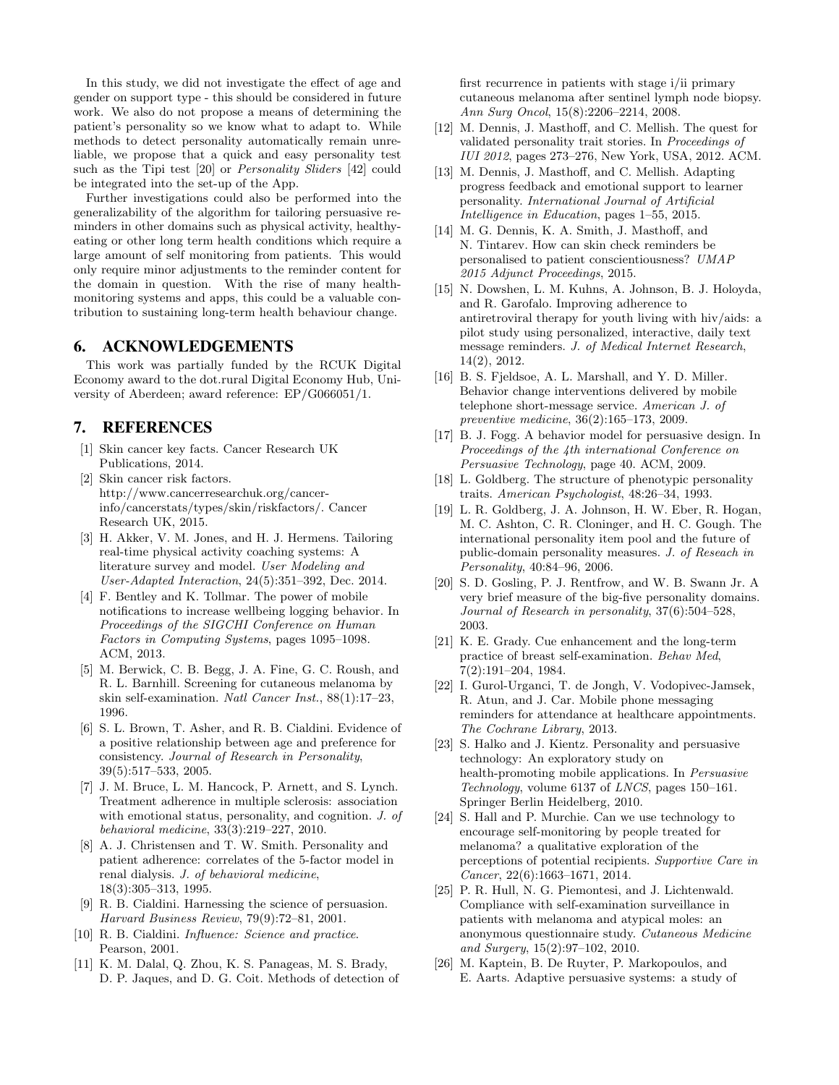In this study, we did not investigate the effect of age and gender on support type - this should be considered in future work. We also do not propose a means of determining the patient's personality so we know what to adapt to. While methods to detect personality automatically remain unreliable, we propose that a quick and easy personality test such as the Tipi test [\[20\]](#page-7-25) or *Personality Sliders* [\[42\]](#page-8-21) could be integrated into the set-up of the App.

Further investigations could also be performed into the generalizability of the algorithm for tailoring persuasive reminders in other domains such as physical activity, healthyeating or other long term health conditions which require a large amount of self monitoring from patients. This would only require minor adjustments to the reminder content for the domain in question. With the rise of many healthmonitoring systems and apps, this could be a valuable contribution to sustaining long-term health behaviour change.

## 6. ACKNOWLEDGEMENTS

This work was partially funded by the RCUK Digital Economy award to the dot.rural Digital Economy Hub, University of Aberdeen; award reference: EP/G066051/1.

# 7. REFERENCES

- <span id="page-7-1"></span>[1] Skin cancer key facts. Cancer Research UK Publications, 2014.
- <span id="page-7-2"></span>[2] Skin cancer risk factors. http://www.cancerresearchuk.org/cancerinfo/cancerstats/types/skin/riskfactors/. Cancer Research UK, 2015.
- <span id="page-7-0"></span>[3] H. Akker, V. M. Jones, and H. J. Hermens. Tailoring real-time physical activity coaching systems: A literature survey and model. User Modeling and User-Adapted Interaction, 24(5):351–392, Dec. 2014.
- <span id="page-7-14"></span>[4] F. Bentley and K. Tollmar. The power of mobile notifications to increase wellbeing logging behavior. In Proceedings of the SIGCHI Conference on Human Factors in Computing Systems, pages 1095–1098. ACM, 2013.
- <span id="page-7-5"></span>[5] M. Berwick, C. B. Begg, J. A. Fine, G. C. Roush, and R. L. Barnhill. Screening for cutaneous melanoma by skin self-examination. Natl Cancer Inst., 88(1):17–23, 1996.
- <span id="page-7-17"></span>[6] S. L. Brown, T. Asher, and R. B. Cialdini. Evidence of a positive relationship between age and preference for consistency. Journal of Research in Personality, 39(5):517–533, 2005.
- <span id="page-7-21"></span>[7] J. M. Bruce, L. M. Hancock, P. Arnett, and S. Lynch. Treatment adherence in multiple sclerosis: association with emotional status, personality, and cognition. J. of behavioral medicine, 33(3):219–227, 2010.
- <span id="page-7-22"></span>[8] A. J. Christensen and T. W. Smith. Personality and patient adherence: correlates of the 5-factor model in renal dialysis. J. of behavioral medicine, 18(3):305–313, 1995.
- <span id="page-7-16"></span>[9] R. B. Cialdini. Harnessing the science of persuasion. Harvard Business Review, 79(9):72–81, 2001.
- <span id="page-7-11"></span>[10] R. B. Cialdini. Influence: Science and practice. Pearson, 2001.
- <span id="page-7-3"></span>[11] K. M. Dalal, Q. Zhou, K. S. Panageas, M. S. Brady, D. P. Jaques, and D. G. Coit. Methods of detection of

first recurrence in patients with stage i/ii primary cutaneous melanoma after sentinel lymph node biopsy. Ann Surg Oncol, 15(8):2206–2214, 2008.

- <span id="page-7-24"></span>[12] M. Dennis, J. Masthoff, and C. Mellish. The quest for validated personality trait stories. In Proceedings of IUI 2012, pages 273–276, New York, USA, 2012. ACM.
- <span id="page-7-19"></span>[13] M. Dennis, J. Masthoff, and C. Mellish. Adapting progress feedback and emotional support to learner personality. International Journal of Artificial Intelligence in Education, pages 1–55, 2015.
- <span id="page-7-10"></span>[14] M. G. Dennis, K. A. Smith, J. Masthoff, and N. Tintarev. How can skin check reminders be personalised to patient conscientiousness? UMAP 2015 Adjunct Proceedings, 2015.
- <span id="page-7-12"></span>[15] N. Dowshen, L. M. Kuhns, A. Johnson, B. J. Holoyda, and R. Garofalo. Improving adherence to antiretroviral therapy for youth living with hiv/aids: a pilot study using personalized, interactive, daily text message reminders. J. of Medical Internet Research, 14(2), 2012.
- <span id="page-7-8"></span>[16] B. S. Fjeldsoe, A. L. Marshall, and Y. D. Miller. Behavior change interventions delivered by mobile telephone short-message service. American J. of preventive medicine, 36(2):165–173, 2009.
- <span id="page-7-15"></span>[17] B. J. Fogg. A behavior model for persuasive design. In Proceedings of the 4th international Conference on Persuasive Technology, page 40. ACM, 2009.
- <span id="page-7-9"></span>[18] L. Goldberg. The structure of phenotypic personality traits. American Psychologist, 48:26–34, 1993.
- <span id="page-7-23"></span>[19] L. R. Goldberg, J. A. Johnson, H. W. Eber, R. Hogan, M. C. Ashton, C. R. Cloninger, and H. C. Gough. The international personality item pool and the future of public-domain personality measures. J. of Reseach in Personality, 40:84–96, 2006.
- <span id="page-7-25"></span>[20] S. D. Gosling, P. J. Rentfrow, and W. B. Swann Jr. A very brief measure of the big-five personality domains. Journal of Research in personality, 37(6):504–528, 2003.
- <span id="page-7-6"></span>[21] K. E. Grady. Cue enhancement and the long-term practice of breast self-examination. Behav Med, 7(2):191–204, 1984.
- <span id="page-7-13"></span>[22] I. Gurol-Urganci, T. de Jongh, V. Vodopivec-Jamsek, R. Atun, and J. Car. Mobile phone messaging reminders for attendance at healthcare appointments. The Cochrane Library, 2013.
- <span id="page-7-20"></span>[23] S. Halko and J. Kientz. Personality and persuasive technology: An exploratory study on health-promoting mobile applications. In Persuasive Technology, volume 6137 of LNCS, pages 150–161. Springer Berlin Heidelberg, 2010.
- <span id="page-7-7"></span>[24] S. Hall and P. Murchie. Can we use technology to encourage self-monitoring by people treated for melanoma? a qualitative exploration of the perceptions of potential recipients. Supportive Care in Cancer, 22(6):1663–1671, 2014.
- <span id="page-7-4"></span>[25] P. R. Hull, N. G. Piemontesi, and J. Lichtenwald. Compliance with self-examination surveillance in patients with melanoma and atypical moles: an anonymous questionnaire study. Cutaneous Medicine and Surgery, 15(2):97–102, 2010.
- <span id="page-7-18"></span>[26] M. Kaptein, B. De Ruyter, P. Markopoulos, and E. Aarts. Adaptive persuasive systems: a study of